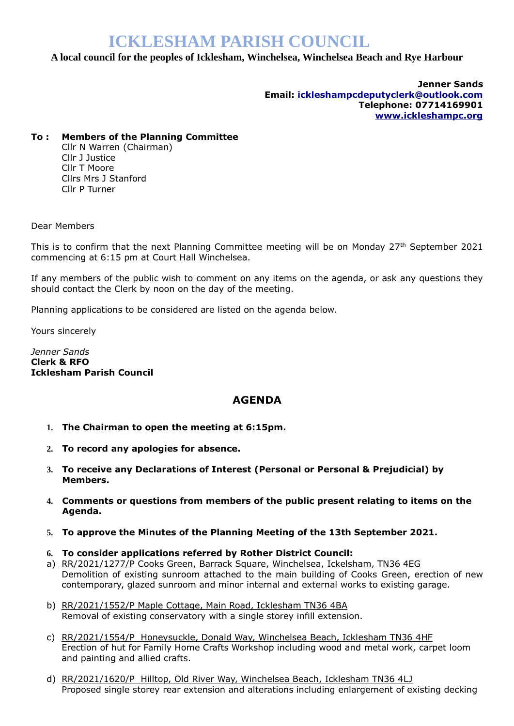# **ICKLESHAM PARISH COUNCIL**

## **A local council for the peoples of Icklesham, Winchelsea, Winchelsea Beach and Rye Harbour**

**Jenner Sands Email: [ickleshampcdeputyclerk@outlook.com](mailto:ickleshampcdeputyclerk@outlook.com) Telephone: 07714169901 [www.ickleshampc.org](http://www.ickleshampc.org/)**

## **To : Members of the Planning Committee**

Cllr N Warren (Chairman) Cllr J Justice Cllr T Moore Cllrs Mrs J Stanford Cllr P Turner

Dear Members

This is to confirm that the next Planning Committee meeting will be on Monday  $27<sup>th</sup>$  September 2021 commencing at 6:15 pm at Court Hall Winchelsea.

If any members of the public wish to comment on any items on the agenda, or ask any questions they should contact the Clerk by noon on the day of the meeting.

Planning applications to be considered are listed on the agenda below.

Yours sincerely

*Jenner Sands* **Clerk & RFO Icklesham Parish Council**

## **AGENDA**

- **1. The Chairman to open the meeting at 6:15pm.**
- **2. To record any apologies for absence.**
- **3. To receive any Declarations of Interest (Personal or Personal & Prejudicial) by Members.**
- **4. Comments or questions from members of the public present relating to items on the Agenda.**
- **5. To approve the Minutes of the Planning Meeting of the 13th September 2021.**
- **6. To consider applications referred by Rother District Council:**
- a) RR/2021/1277/P Cooks Green, Barrack Square, Winchelsea, Ickelsham, TN36 4EG Demolition of existing sunroom attached to the main building of Cooks Green, erection of new contemporary, glazed sunroom and minor internal and external works to existing garage.
- b) RR/2021/1552/P Maple Cottage, Main Road, Icklesham TN36 4BA Removal of existing conservatory with a single storey infill extension.
- c) RR/2021/1554/P Honeysuckle, Donald Way, Winchelsea Beach, Icklesham TN36 4HF Erection of hut for Family Home Crafts Workshop including wood and metal work, carpet loom and painting and allied crafts.
- d) RR/2021/1620/P Hilltop, Old River Way, Winchelsea Beach, Icklesham TN36 4LJ Proposed single storey rear extension and alterations including enlargement of existing decking